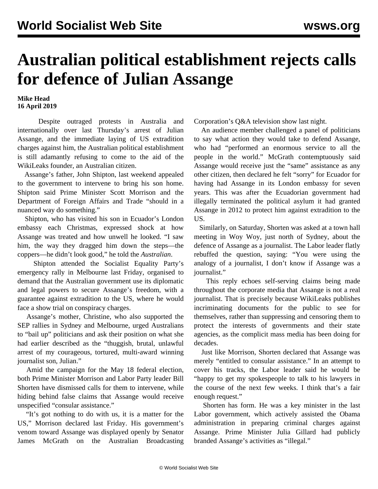## **Australian political establishment rejects calls for defence of Julian Assange**

**Mike Head 16 April 2019**

 Despite outraged protests in Australia and internationally over last Thursday's arrest of Julian Assange, and the immediate laying of US extradition charges against him, the Australian political establishment is still adamantly refusing to come to the aid of the WikiLeaks founder, an Australian citizen.

 Assange's father, John Shipton, last weekend appealed to the government to intervene to bring his son home. Shipton said Prime Minister Scott Morrison and the Department of Foreign Affairs and Trade "should in a nuanced way do something."

 Shipton, who has visited his son in Ecuador's London embassy each Christmas, expressed shock at how Assange was treated and how unwell he looked. "I saw him, the way they dragged him down the steps—the coppers—he didn't look good," he told the *Australian*.

 Shipton attended the Socialist Equality Party's emergency rally in Melbourne last Friday, organised to demand that the Australian government use its diplomatic and legal powers to secure Assange's freedom, with a guarantee against extradition to the US, where he would face a show trial on conspiracy charges.

 Assange's mother, Christine, who also supported the SEP rallies in Sydney and Melbourne, urged Australians to "bail up" politicians and ask their position on what she had earlier described as the "thuggish, brutal, unlawful arrest of my courageous, tortured, multi-award winning journalist son, Julian."

 Amid the campaign for the May 18 federal election, both Prime Minister Morrison and Labor Party leader Bill Shorten have dismissed calls for them to intervene, while hiding behind false claims that Assange would receive unspecified "consular assistance."

 "It's got nothing to do with us, it is a matter for the US," Morrison declared last Friday. His government's venom toward Assange was displayed openly by Senator James McGrath on the Australian Broadcasting Corporation's Q&A television show last night.

 An audience member challenged a panel of politicians to say what action they would take to defend Assange, who had "performed an enormous service to all the people in the world." McGrath contemptuously said Assange would receive just the "same" assistance as any other citizen, then declared he felt "sorry" for Ecuador for having had Assange in its London embassy for seven years. This was after the Ecuadorian government had illegally terminated the political asylum it had granted Assange in 2012 to protect him against extradition to the US.

 Similarly, on Saturday, Shorten was asked at a town hall meeting in Woy Woy, just north of Sydney, about the defence of Assange as a journalist. The Labor leader flatly rebuffed the question, saying: "You were using the analogy of a journalist, I don't know if Assange was a journalist."

 This reply echoes self-serving claims being made throughout the corporate media that Assange is not a real journalist. That is precisely because WikiLeaks publishes incriminating documents for the public to see for themselves, rather than suppressing and censoring them to protect the interests of governments and their state agencies, as the complicit mass media has been doing for decades.

 Just like Morrison, Shorten declared that Assange was merely "entitled to consular assistance." In an attempt to cover his tracks, the Labor leader said he would be "happy to get my spokespeople to talk to his lawyers in the course of the next few weeks. I think that's a fair enough request."

 Shorten has form. He was a key minister in the last Labor government, which actively assisted the Obama administration in preparing criminal charges against Assange. Prime Minister Julia Gillard had publicly branded Assange's activities as "illegal."